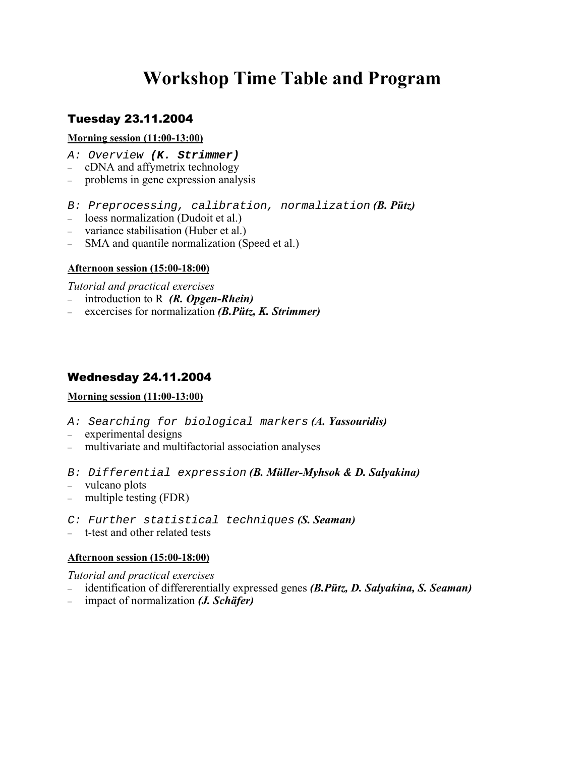# **Workshop Time Table and Program**

# Tuesday 23.11.2004

#### **Morning session (11:00-13:00)**

- A: Overview **(K. Strimmer)**
- cDNA and affymetrix technology
- problems in gene expression analysis
- B: Preprocessing, calibration, normalization *(B. Pütz)*
- loess normalization (Dudoit et al.)
- variance stabilisation (Huber et al.)
- SMA and quantile normalization (Speed et al.)

## **Afternoon session (15:00-18:00)**

*Tutorial and practical exercises*

- introduction to R *(R. Opgen-Rhein)*
- excercises for normalization *(B.Pütz, K. Strimmer)*

# Wednesday 24.11.2004

## **Morning session (11:00-13:00)**

- A: Searching for biological markers *(A. Yassouridis)*
- experimental designs
- multivariate and multifactorial association analyses
- B: Differential expression *(B. Müller-Myhsok & D. Salyakina)*
- vulcano plots
- multiple testing (FDR)
- C: Further statistical techniques *(S. Seaman)*
- t-test and other related tests

#### **Afternoon session (15:00-18:00)**

*Tutorial and practical exercises*

- identification of differerentially expressed genes *(B.Pütz, D. Salyakina, S. Seaman)*
- impact of normalization *(J. Schäfer)*